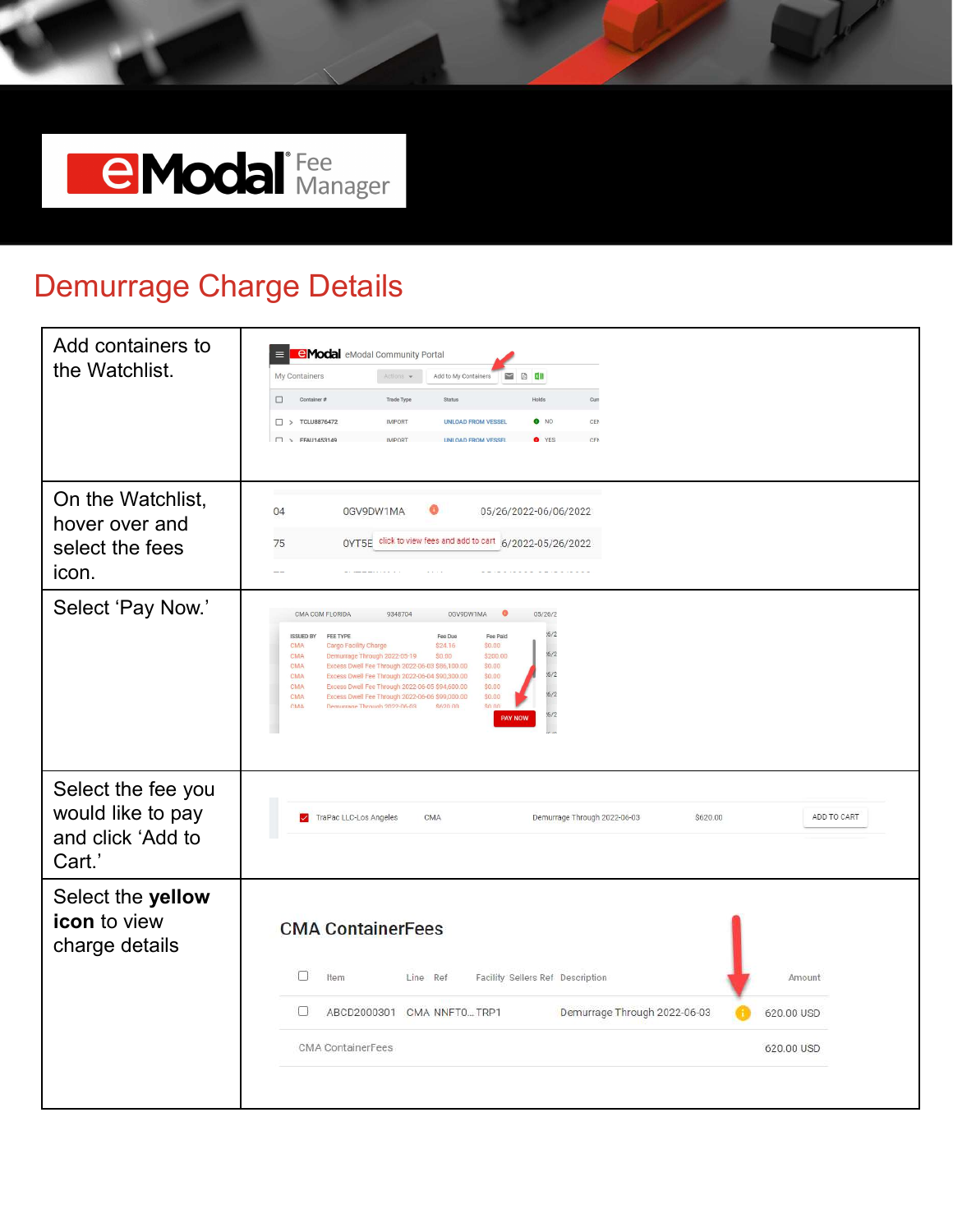

#### Demurrage Charge Details

| Add containers to<br>the Watchlist.                                    | <b>eModal</b> eModal Community Portal<br>My Containers<br>Add to My Containers<br><b>DEXE</b><br>Actions $\star$<br>Container#<br>Trade Type<br>Holds<br>Curr<br>$\Box$<br>Status<br><b>TCLU8876472</b><br><b>IMPORT</b><br><b>UNLOAD FROM VESSEL</b><br>$\bullet$ NO<br>CEN<br>$\Box$<br>FFAU1453149<br><b>UNI OAD FROM VESSEL</b><br>CFN<br>$\Box$<br><b>IMPORT</b><br>O YES                                                                                                                                                                                                                                                                               |
|------------------------------------------------------------------------|--------------------------------------------------------------------------------------------------------------------------------------------------------------------------------------------------------------------------------------------------------------------------------------------------------------------------------------------------------------------------------------------------------------------------------------------------------------------------------------------------------------------------------------------------------------------------------------------------------------------------------------------------------------|
| On the Watchlist,<br>hover over and<br>select the fees<br>icon.        | 04<br>0GV9DW1MA<br>05/26/2022-06/06/2022<br>OYT5E click to view fees and add to cart 6/2022-05/26/2022<br>75<br>$-1$                                                                                                                                                                                                                                                                                                                                                                                                                                                                                                                                         |
| Select 'Pay Now.'                                                      | CMA CGM FLORIDA<br>0GV9DW1MA<br>05/26/2<br>9348704<br>.6/2<br><b>ISSUED BY</b><br>FEE TYPE<br>Fee Due<br>Fee Paid<br>\$24.16<br><b>CMA</b><br>Cargo Facility Charge<br>\$0.00<br>16/2<br>\$200.00<br>CMA<br>Demurrage Through 2022-05-19<br>\$0.00<br>CMA<br>Excess Dwell Fee Through 2022-06-03 \$86,100.00<br>\$0.00<br>.6/2<br>CMA<br>Excess Dwell Fee Through 2022-06-04 \$90,300.00<br>\$0.00<br><b>CMA</b><br>Excess Dwell Fee Through 2022-06-05 \$94,600.00<br>\$0.00<br>.6/2<br>Excess Dwell Fee Through 2022-06-06 \$99,000.00<br>\$0.00<br><b>CMA</b><br>Demurrane Through 2022-06-03<br>S620.00<br>so no<br><b>CMA</b><br>16/2<br><b>PAY NOW</b> |
| Select the fee you<br>would like to pay<br>and click 'Add to<br>Cart.' | ADD TO CART<br>TraPac LLC-Los Angeles<br>CMA<br>Demurrage Through 2022-06-03<br>\$620.00                                                                                                                                                                                                                                                                                                                                                                                                                                                                                                                                                                     |
| Select the yellow<br><b>icon</b> to view<br>charge details             | <b>CMA ContainerFees</b>                                                                                                                                                                                                                                                                                                                                                                                                                                                                                                                                                                                                                                     |
|                                                                        | 0<br>Line Ref<br>Facility Sellers Ref Description<br>Item<br>Amount<br>0<br>Demurrage Through 2022-06-03<br>ABCD2000301 CMA NNFT0TRP1<br>620.00 USD                                                                                                                                                                                                                                                                                                                                                                                                                                                                                                          |
|                                                                        | <b>CMA</b> ContainerFees<br>620.00 USD                                                                                                                                                                                                                                                                                                                                                                                                                                                                                                                                                                                                                       |
|                                                                        |                                                                                                                                                                                                                                                                                                                                                                                                                                                                                                                                                                                                                                                              |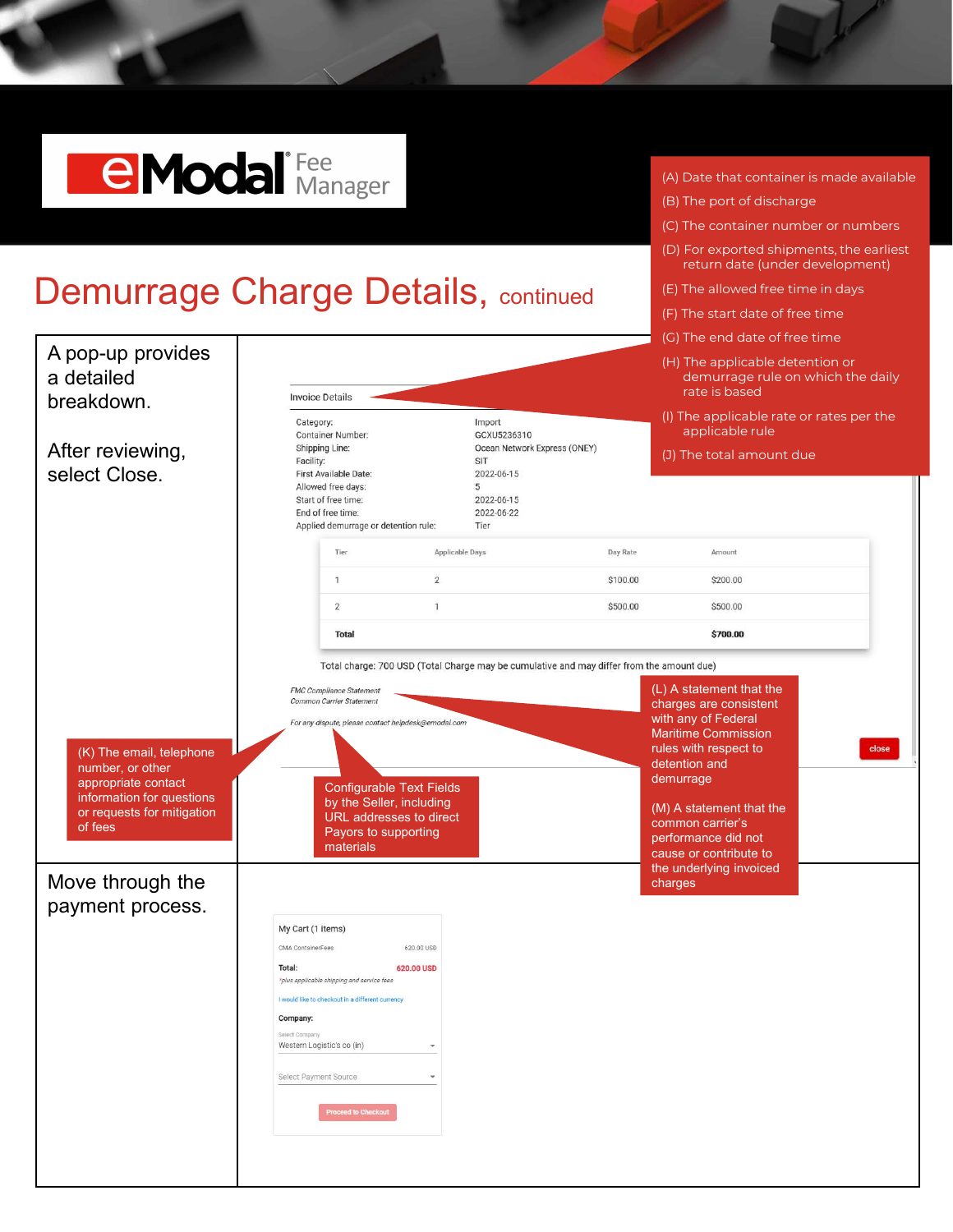## **CModa** Manager

### Demurrage Charge Details, continued

|                                                                                                                                           |                                                                                                                                                                                                                                                                                                   |                                                                                            | (G) The end date of free time                                                                                                                                                                                                                                           |  |  |  |  |
|-------------------------------------------------------------------------------------------------------------------------------------------|---------------------------------------------------------------------------------------------------------------------------------------------------------------------------------------------------------------------------------------------------------------------------------------------------|--------------------------------------------------------------------------------------------|-------------------------------------------------------------------------------------------------------------------------------------------------------------------------------------------------------------------------------------------------------------------------|--|--|--|--|
| A pop-up provides<br>a detailed<br>breakdown.                                                                                             | <b>Invoice Details</b>                                                                                                                                                                                                                                                                            |                                                                                            | (H) The applicable detention or<br>demurrage rule on which the daily<br>rate is based                                                                                                                                                                                   |  |  |  |  |
|                                                                                                                                           | Category:<br>Container Number:                                                                                                                                                                                                                                                                    | Import<br>GCXU5236310                                                                      | (I) The applicable rate or rates per the<br>applicable rule                                                                                                                                                                                                             |  |  |  |  |
| After reviewing,<br>select Close.                                                                                                         | Shipping Line:<br>Facility:<br>First Available Date:<br>Allowed free days:<br>Start of free time:<br>End of free time:<br>Applied demurrage or detention rule:                                                                                                                                    | Ocean Network Express (ONEY)<br>SIT<br>2022-06-15<br>5<br>2022-06-15<br>2022-06-22<br>Tier | (J) The total amount due                                                                                                                                                                                                                                                |  |  |  |  |
|                                                                                                                                           | Applicable Days<br>Tier                                                                                                                                                                                                                                                                           | Day Rate                                                                                   | Amount                                                                                                                                                                                                                                                                  |  |  |  |  |
|                                                                                                                                           | $\overline{2}$<br>$\overline{1}$                                                                                                                                                                                                                                                                  | \$100.00                                                                                   | \$200.00                                                                                                                                                                                                                                                                |  |  |  |  |
|                                                                                                                                           | $\overline{2}$<br>$\mathbf{1}$                                                                                                                                                                                                                                                                    | \$500.00                                                                                   | \$500.00                                                                                                                                                                                                                                                                |  |  |  |  |
|                                                                                                                                           | <b>Total</b>                                                                                                                                                                                                                                                                                      |                                                                                            | \$700.00                                                                                                                                                                                                                                                                |  |  |  |  |
|                                                                                                                                           | Total charge: 700 USD (Total Charge may be cumulative and may differ from the amount due)<br>(L) A statement that the                                                                                                                                                                             |                                                                                            |                                                                                                                                                                                                                                                                         |  |  |  |  |
| (K) The email, telephone<br>number, or other<br>appropriate contact<br>information for questions<br>or requests for mitigation<br>of fees | Common Carrier Statement<br>For any dispute, please contact helpdesk@emodal.com<br><b>Configurable Text Fields</b><br>by the Seller, including<br>URL addresses to direct<br>Payors to supporting<br>materials                                                                                    |                                                                                            | charges are consistent<br>with any of Federal<br><b>Maritime Commission</b><br>close<br>rules with respect to<br>detention and<br>demurrage<br>(M) A statement that the<br>common carrier's<br>performance did not<br>cause or contribute to<br>the underlying invoiced |  |  |  |  |
| Move through the                                                                                                                          |                                                                                                                                                                                                                                                                                                   |                                                                                            | charges                                                                                                                                                                                                                                                                 |  |  |  |  |
| payment process.                                                                                                                          | My Cart (1 items)<br>CMA ContainerFees<br>620.00 USD<br>Total:<br>620.00 USD<br>*plus applicable shipping and service fees<br>I would like to checkout in a different currency<br>Company:<br>Select Company<br>Western Logistic's co (in)<br>Select Payment Source<br><b>Proceed to Checkout</b> |                                                                                            |                                                                                                                                                                                                                                                                         |  |  |  |  |

- (A) Date that container is made available
- (B) The port of discharge
- (C) The container number or numbers
- (D) For exported shipments, the earliest return date (under development)
- (E) The allowed free time in days
- (F) The start date of free time